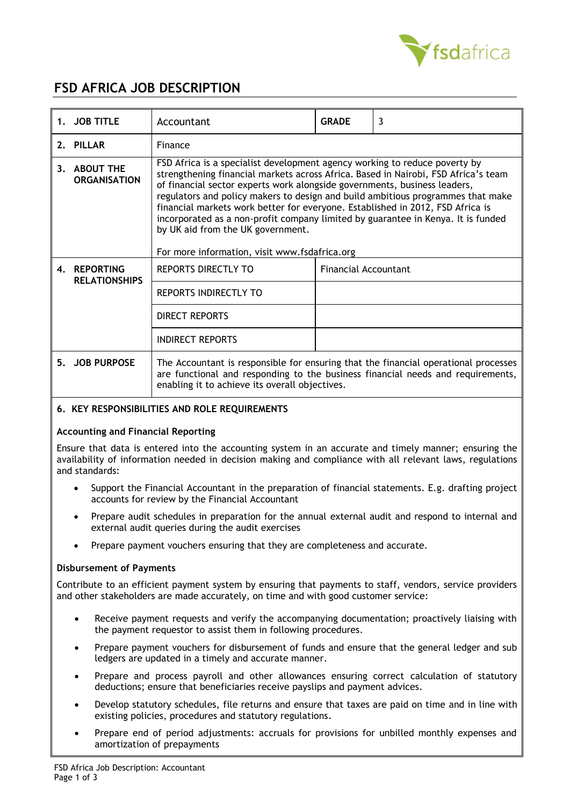

# **FSD AFRICA JOB DESCRIPTION**

|    | 1. JOB TITLE                         | Accountant                                                                                                                                                                                                                                                                                                                                                                                                                                                                                                                                                                                   | <b>GRADE</b>         | $\overline{3}$ |  |
|----|--------------------------------------|----------------------------------------------------------------------------------------------------------------------------------------------------------------------------------------------------------------------------------------------------------------------------------------------------------------------------------------------------------------------------------------------------------------------------------------------------------------------------------------------------------------------------------------------------------------------------------------------|----------------------|----------------|--|
|    | 2. PILLAR                            | Finance                                                                                                                                                                                                                                                                                                                                                                                                                                                                                                                                                                                      |                      |                |  |
|    | 3. ABOUT THE<br><b>ORGANISATION</b>  | FSD Africa is a specialist development agency working to reduce poverty by<br>strengthening financial markets across Africa. Based in Nairobi, FSD Africa's team<br>of financial sector experts work alongside governments, business leaders,<br>regulators and policy makers to design and build ambitious programmes that make<br>financial markets work better for everyone. Established in 2012, FSD Africa is<br>incorporated as a non-profit company limited by guarantee in Kenya. It is funded<br>by UK aid from the UK government.<br>For more information, visit www.fsdafrica.org |                      |                |  |
|    | 4. REPORTING<br><b>RELATIONSHIPS</b> | REPORTS DIRECTLY TO                                                                                                                                                                                                                                                                                                                                                                                                                                                                                                                                                                          | Financial Accountant |                |  |
|    |                                      | REPORTS INDIRECTLY TO                                                                                                                                                                                                                                                                                                                                                                                                                                                                                                                                                                        |                      |                |  |
|    |                                      | DIRECT REPORTS                                                                                                                                                                                                                                                                                                                                                                                                                                                                                                                                                                               |                      |                |  |
|    |                                      | <b>INDIRECT REPORTS</b>                                                                                                                                                                                                                                                                                                                                                                                                                                                                                                                                                                      |                      |                |  |
| 5. | <b>JOB PURPOSE</b>                   | The Accountant is responsible for ensuring that the financial operational processes<br>are functional and responding to the business financial needs and requirements,<br>enabling it to achieve its overall objectives.                                                                                                                                                                                                                                                                                                                                                                     |                      |                |  |

# **6. KEY RESPONSIBILITIES AND ROLE REQUIREMENTS**

# **Accounting and Financial Reporting**

Ensure that data is entered into the accounting system in an accurate and timely manner; ensuring the availability of information needed in decision making and compliance with all relevant laws, regulations and standards:

- Support the Financial Accountant in the preparation of financial statements. E.g. drafting project accounts for review by the Financial Accountant
- Prepare audit schedules in preparation for the annual external audit and respond to internal and external audit queries during the audit exercises
- Prepare payment vouchers ensuring that they are completeness and accurate.

## **Disbursement of Payments**

Contribute to an efficient payment system by ensuring that payments to staff, vendors, service providers and other stakeholders are made accurately, on time and with good customer service:

- Receive payment requests and verify the accompanying documentation; proactively liaising with the payment requestor to assist them in following procedures.
- Prepare payment vouchers for disbursement of funds and ensure that the general ledger and sub ledgers are updated in a timely and accurate manner.
- Prepare and process payroll and other allowances ensuring correct calculation of statutory deductions; ensure that beneficiaries receive payslips and payment advices.
- Develop statutory schedules, file returns and ensure that taxes are paid on time and in line with existing policies, procedures and statutory regulations.
- Prepare end of period adjustments: accruals for provisions for unbilled monthly expenses and amortization of prepayments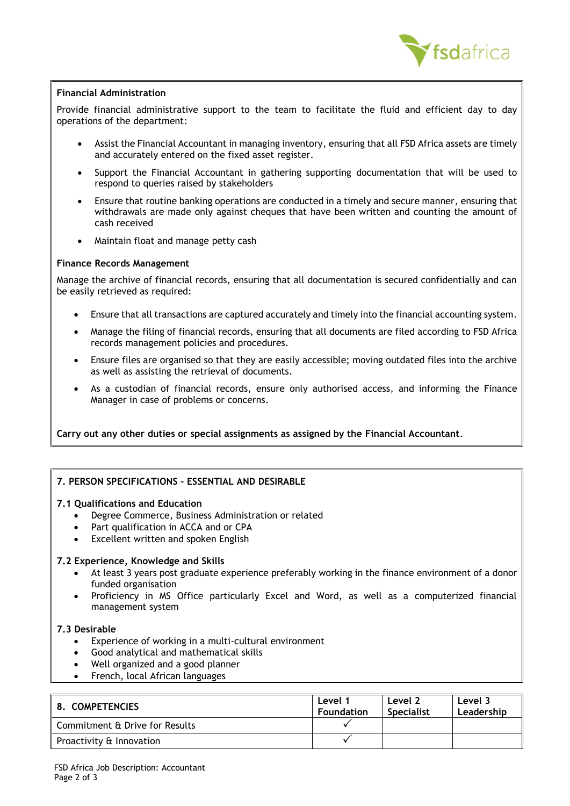

## **Financial Administration**

Provide financial administrative support to the team to facilitate the fluid and efficient day to day operations of the department:

- Assist the Financial Accountant in managing inventory, ensuring that all FSD Africa assets are timely and accurately entered on the fixed asset register.
- Support the Financial Accountant in gathering supporting documentation that will be used to respond to queries raised by stakeholders
- Ensure that routine banking operations are conducted in a timely and secure manner, ensuring that withdrawals are made only against cheques that have been written and counting the amount of cash received
- Maintain float and manage petty cash

#### **Finance Records Management**

Manage the archive of financial records, ensuring that all documentation is secured confidentially and can be easily retrieved as required:

- Ensure that all transactions are captured accurately and timely into the financial accounting system.
- Manage the filing of financial records, ensuring that all documents are filed according to FSD Africa records management policies and procedures.
- Ensure files are organised so that they are easily accessible; moving outdated files into the archive as well as assisting the retrieval of documents.
- As a custodian of financial records, ensure only authorised access, and informing the Finance Manager in case of problems or concerns.

**Carry out any other duties or special assignments as assigned by the Financial Accountant**.

# **7. PERSON SPECIFICATIONS – ESSENTIAL AND DESIRABLE**

## **7.1 Qualifications and Education**

- Degree Commerce, Business Administration or related
- Part qualification in ACCA and or CPA
- Excellent written and spoken English

#### **7.2 Experience, Knowledge and Skills**

- At least 3 years post graduate experience preferably working in the finance environment of a donor funded organisation
- Proficiency in MS Office particularly Excel and Word, as well as a computerized financial management system

#### **7.3 Desirable**

- Experience of working in a multi-cultural environment
- Good analytical and mathematical skills
- Well organized and a good planner
- French, local African languages

| 8. COMPETENCIES                | Level 1<br><b>Foundation</b> | Level 2<br><b>Specialist</b> | Level 3<br>Leadership |
|--------------------------------|------------------------------|------------------------------|-----------------------|
| Commitment & Drive for Results |                              |                              |                       |
| Proactivity & Innovation       |                              |                              |                       |